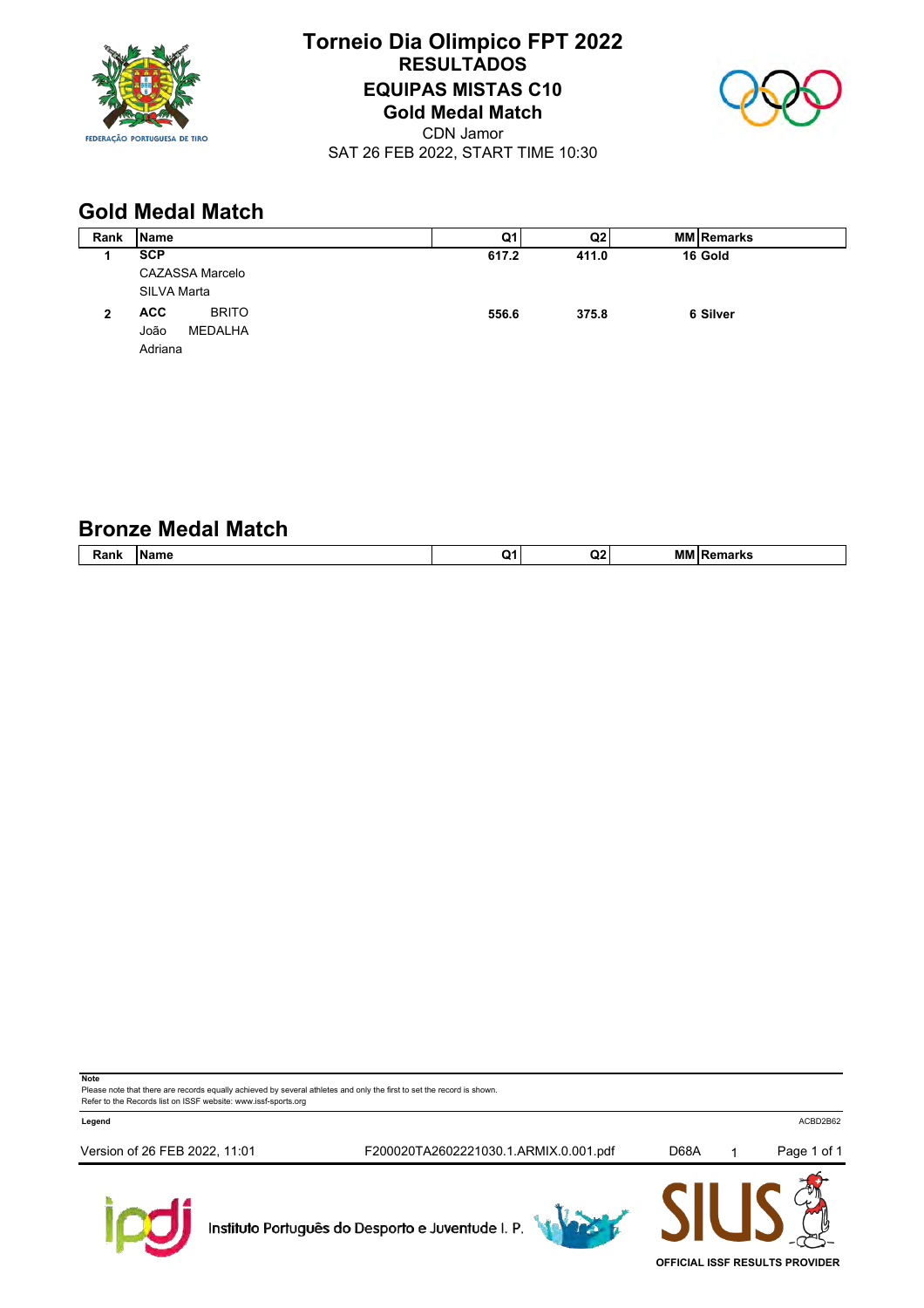

# **Torneio Dia Olimpico FPT 2022 RESULTADOS EQUIPAS MISTAS C10 Gold Medal Match**



CDN Jamor SAT 26 FEB 2022, START TIME 10:30

# **Gold Medal Match**

| Rank | <b>Name</b>                | Q1l   | Q2    | <b>MM Remarks</b> |  |
|------|----------------------------|-------|-------|-------------------|--|
|      | <b>SCP</b>                 | 617.2 | 411.0 | 16 Gold           |  |
|      | <b>CAZASSA Marcelo</b>     |       |       |                   |  |
|      | SILVA Marta                |       |       |                   |  |
| 2    | <b>BRITO</b><br><b>ACC</b> | 556.6 | 375.8 | 6 Silver          |  |
|      | MEDALHA<br>João            |       |       |                   |  |
|      | Adriana                    |       |       |                   |  |

## **Bronze Medal Match**

| <b>TAMILIA</b> | $- - -$<br>'' | <br><br>. | . . |
|----------------|---------------|-----------|-----|
|                |               |           |     |

**Note**

Please note that there are records equally achieved by several athletes and only the first to set the record is shown. Refer to the Records list on ISSF website: www.issf-sports.org

**Legend** ACBD2B62

Version of 26 FEB 2022, 11:01 F200020TA2602221030.1.ARMIX.0.001.pdf D68A 1 Page 1 of 1



Instituto Português do Desporto e Juventude I. P.





**OFFICIAL ISSF RESULTS PROVIDER**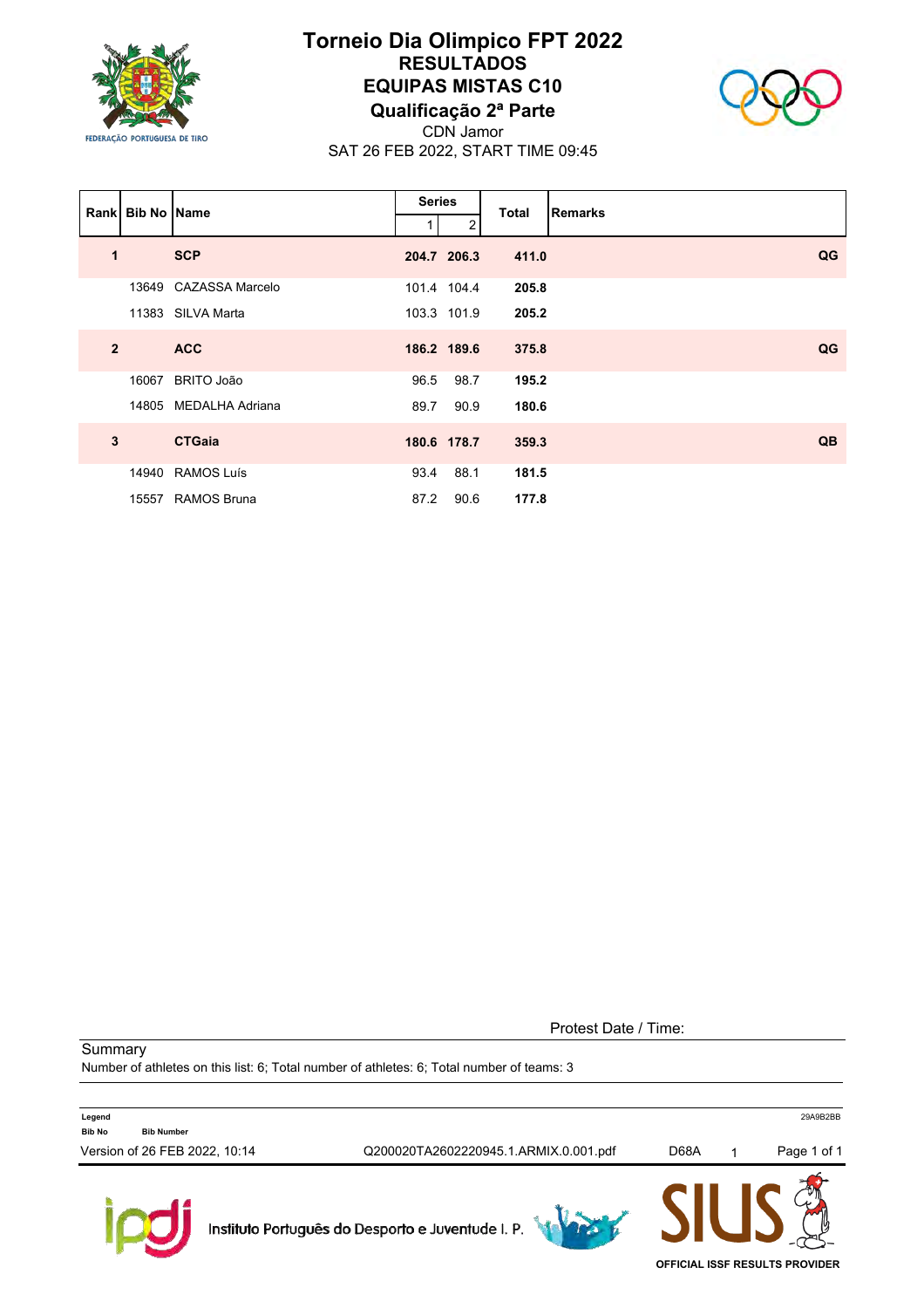

### **Torneio Dia Olimpico FPT 2022 RESULTADOS EQUIPAS MISTAS C10 Qualificação 2ª Parte**



CDN Jamor SAT 26 FEB 2022, START TIME 09:45

|                | <b>Rankl Bib No IName</b> |                       | <b>Series</b> |             | <b>Total</b> | <b>Remarks</b> |
|----------------|---------------------------|-----------------------|---------------|-------------|--------------|----------------|
|                |                           |                       |               | 2           |              |                |
| $\mathbf 1$    |                           | <b>SCP</b>            |               | 204.7 206.3 | 411.0        | QG             |
|                |                           | 13649 CAZASSA Marcelo |               | 101.4 104.4 | 205.8        |                |
|                |                           | 11383 SILVA Marta     |               | 103.3 101.9 | 205.2        |                |
| $\overline{2}$ |                           | <b>ACC</b>            |               | 186.2 189.6 | 375.8        | QG             |
|                | 16067                     | <b>BRITO João</b>     | 96.5          | 98.7        | 195.2        |                |
|                |                           | 14805 MEDALHA Adriana | 89.7          | 90.9        | 180.6        |                |
| $\mathbf{3}$   |                           | <b>CTGaia</b>         |               | 180.6 178.7 | 359.3        | QB             |
|                |                           | 14940 RAMOS Luís      | 93.4          | 88.1        | 181.5        |                |
|                |                           | 15557 RAMOS Bruna     | 87.2          | 90.6        | 177.8        |                |

Protest Date / Time:

**Summary** 

Number of athletes on this list: 6; Total number of athletes: 6; Total number of teams: 3

| <b>Bib No</b><br>Version of 26 FEB 2022, 10:14 | <b>Bib Number</b> | Q200020TA2602220945.1.ARMIX.0.001.pdf             | D68A | Page 1 of 1 |
|------------------------------------------------|-------------------|---------------------------------------------------|------|-------------|
|                                                |                   | Instituto Português do Desporto e Juventude I. P. |      |             |

**OFFICIAL ISSF RESULTS PROVIDER**